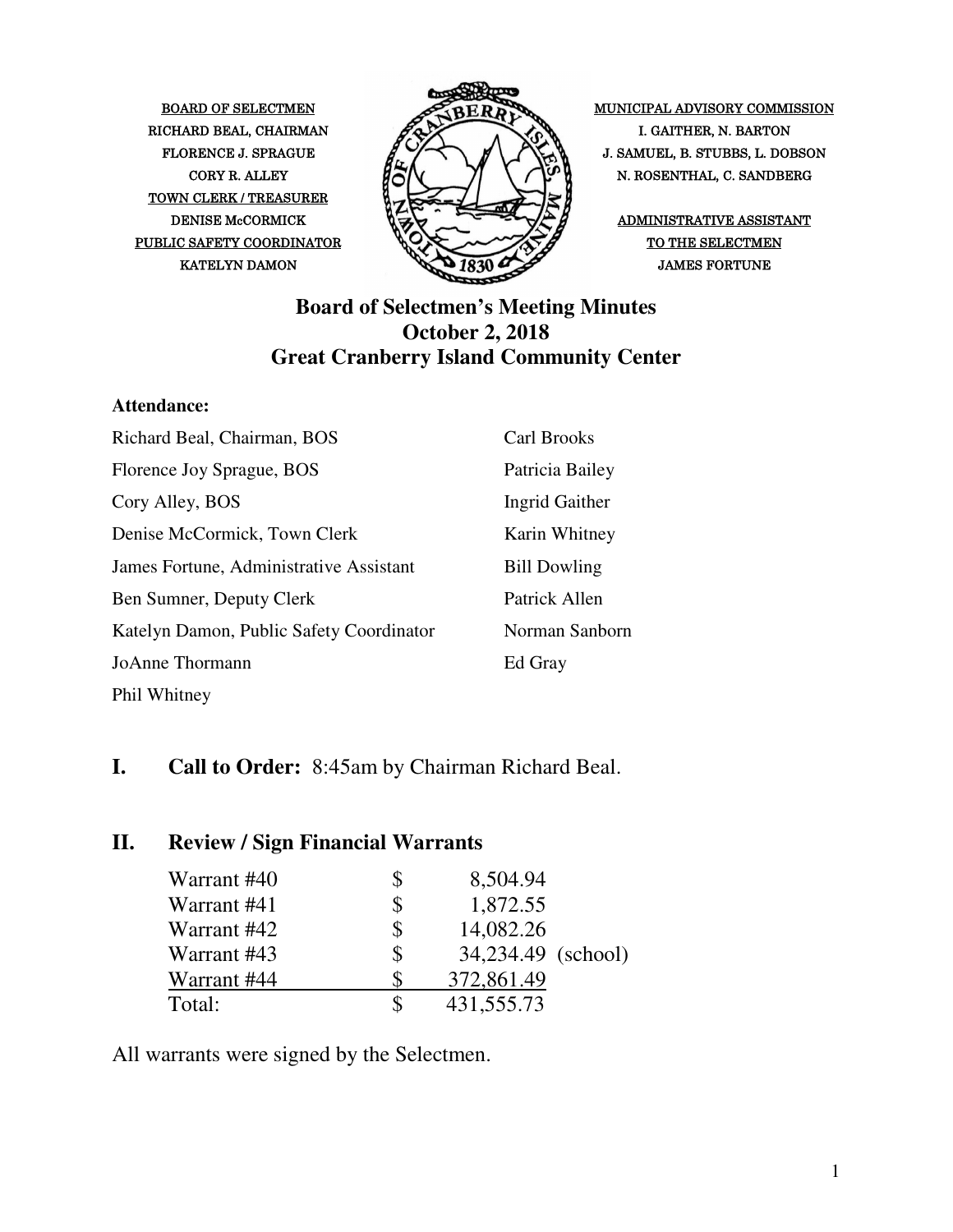TOWN CLERK / TREASURER PUBLIC SAFETY COORDINATOR  $\bigotimes \bigotimes$   $\bigotimes$  of the selectmen



BOARD OF SELECTMEN MUNICIPAL ADVISORY COMMISSION FLORENCE J. SPRAGUE  $\mathcal{L} \rightarrow \mathcal{L}$   $\mathcal{L}$   $\rightarrow$   $\mathcal{L}$   $\rightarrow$   $\mathcal{L}$  J. SAMUEL, B. STUBBS, L. DOBSON CORY R. ALLEY  $\begin{bmatrix} R & R \end{bmatrix} \begin{bmatrix} R & R \end{bmatrix}$  N. ROSENTHAL, C. SANDBERG

#### **Board of Selectmen's Meeting Minutes October 2, 2018 Great Cranberry Island Community Center**

#### **Attendance:**

| Richard Beal, Chairman, BOS              | <b>Carl Brooks</b>  |
|------------------------------------------|---------------------|
| Florence Joy Sprague, BOS                | Patricia Bailey     |
| Cory Alley, BOS                          | Ingrid Gaither      |
| Denise McCormick, Town Clerk             | Karin Whitney       |
| James Fortune, Administrative Assistant  | <b>Bill Dowling</b> |
| Ben Sumner, Deputy Clerk                 | Patrick Allen       |
| Katelyn Damon, Public Safety Coordinator | Norman Sanborn      |
| <b>JoAnne Thormann</b>                   | Ed Gray             |
| Phil Whitney                             |                     |

#### **I. Call to Order:** 8:45am by Chairman Richard Beal.

#### **II. Review / Sign Financial Warrants**

| Warrant #40 | \$<br>8,504.94           |  |
|-------------|--------------------------|--|
| Warrant #41 | 1,872.55                 |  |
| Warrant #42 | \$<br>14,082.26          |  |
| Warrant #43 | \$<br>34,234.49 (school) |  |
| Warrant #44 | 372,861.49               |  |
| Total:      | 431,555.73               |  |

All warrants were signed by the Selectmen.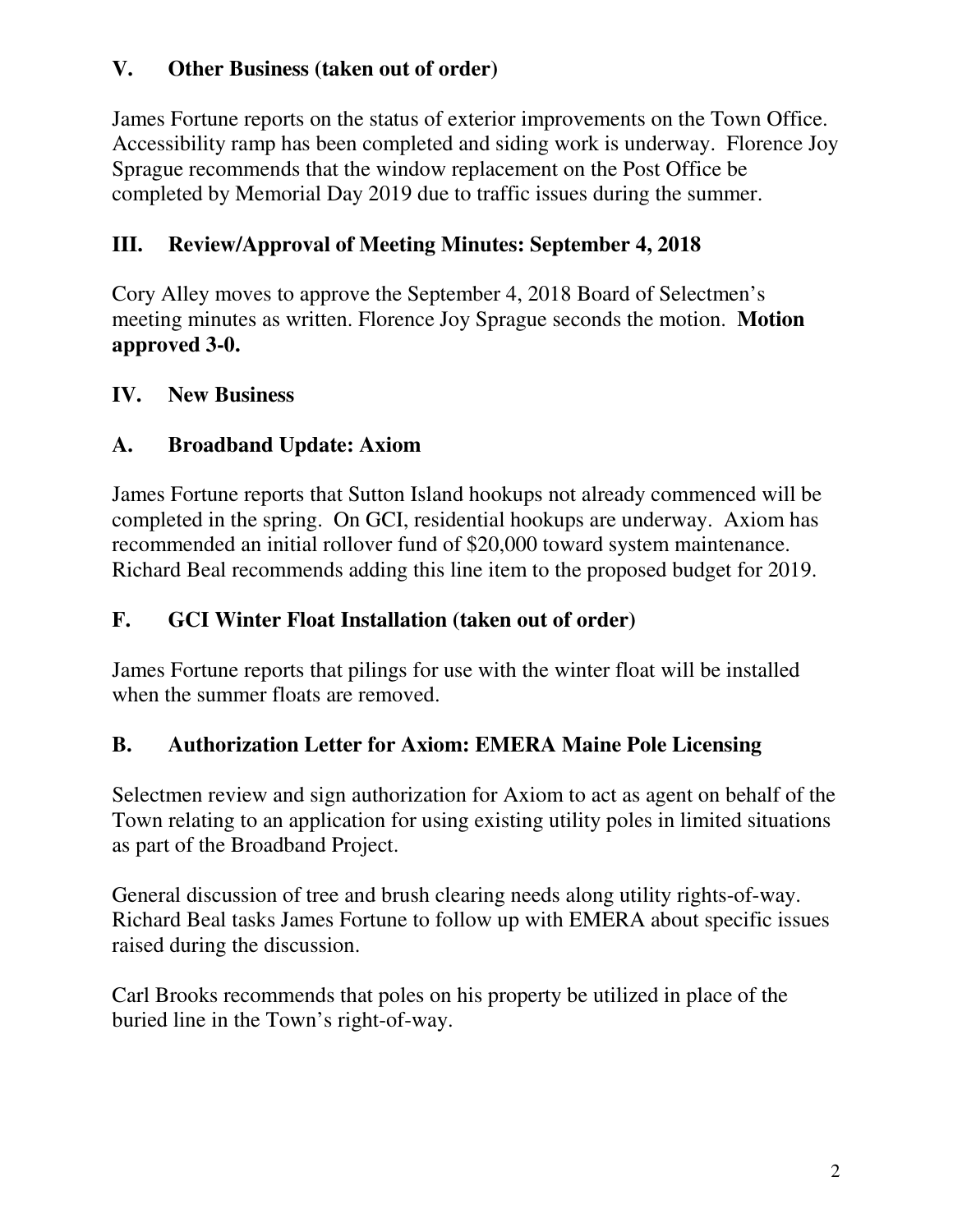#### **V. Other Business (taken out of order)**

James Fortune reports on the status of exterior improvements on the Town Office. Accessibility ramp has been completed and siding work is underway. Florence Joy Sprague recommends that the window replacement on the Post Office be completed by Memorial Day 2019 due to traffic issues during the summer.

## **III. Review/Approval of Meeting Minutes: September 4, 2018**

Cory Alley moves to approve the September 4, 2018 Board of Selectmen's meeting minutes as written. Florence Joy Sprague seconds the motion. **Motion approved 3-0.** 

#### **IV. New Business**

### **A. Broadband Update: Axiom**

James Fortune reports that Sutton Island hookups not already commenced will be completed in the spring. On GCI, residential hookups are underway. Axiom has recommended an initial rollover fund of \$20,000 toward system maintenance. Richard Beal recommends adding this line item to the proposed budget for 2019.

#### **F. GCI Winter Float Installation (taken out of order)**

James Fortune reports that pilings for use with the winter float will be installed when the summer floats are removed.

### **B. Authorization Letter for Axiom: EMERA Maine Pole Licensing**

Selectmen review and sign authorization for Axiom to act as agent on behalf of the Town relating to an application for using existing utility poles in limited situations as part of the Broadband Project.

General discussion of tree and brush clearing needs along utility rights-of-way. Richard Beal tasks James Fortune to follow up with EMERA about specific issues raised during the discussion.

Carl Brooks recommends that poles on his property be utilized in place of the buried line in the Town's right-of-way.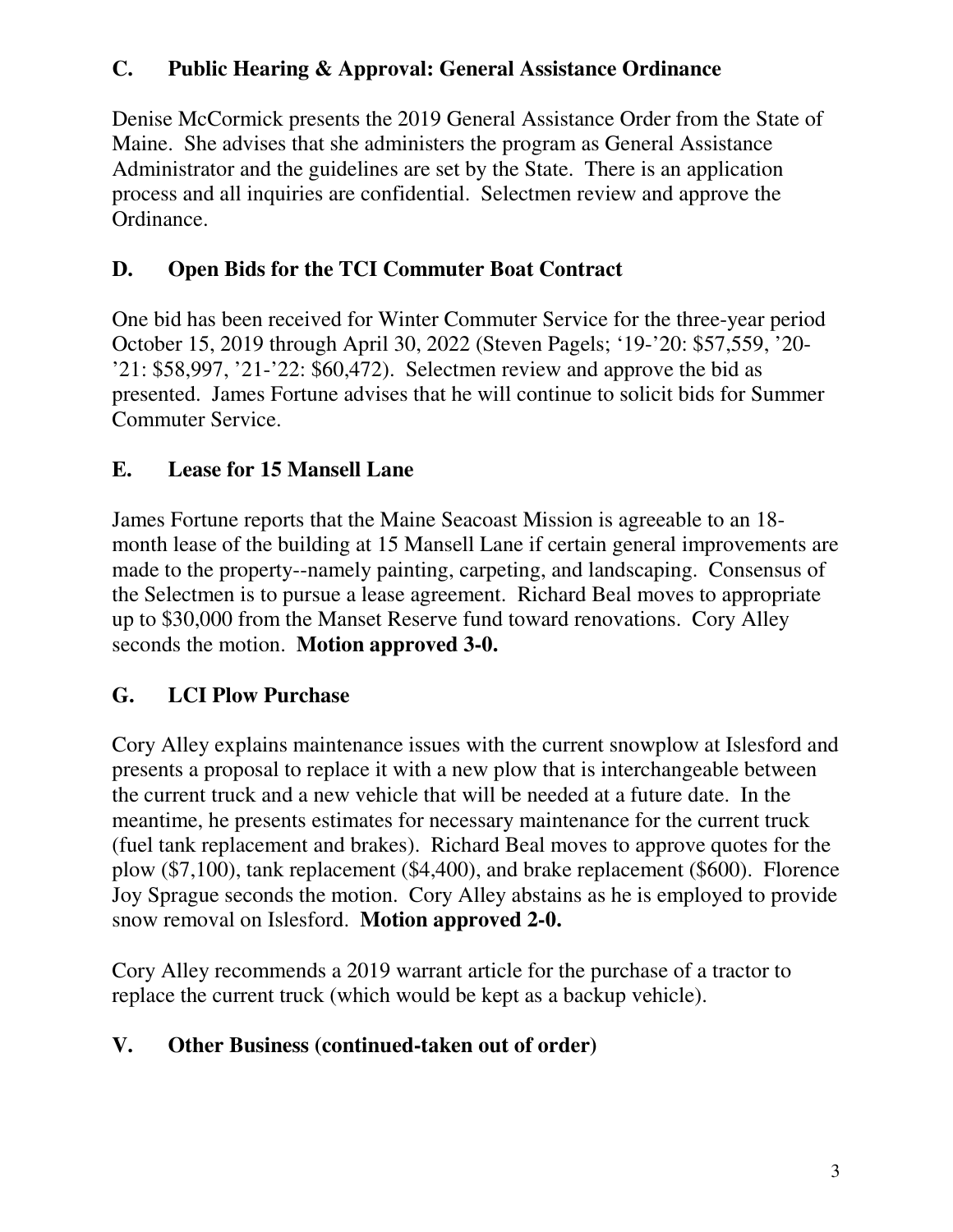### **C. Public Hearing & Approval: General Assistance Ordinance**

Denise McCormick presents the 2019 General Assistance Order from the State of Maine. She advises that she administers the program as General Assistance Administrator and the guidelines are set by the State. There is an application process and all inquiries are confidential. Selectmen review and approve the Ordinance.

## **D. Open Bids for the TCI Commuter Boat Contract**

One bid has been received for Winter Commuter Service for the three-year period October 15, 2019 through April 30, 2022 (Steven Pagels; '19-'20: \$57,559, '20- '21: \$58,997, '21-'22: \$60,472). Selectmen review and approve the bid as presented. James Fortune advises that he will continue to solicit bids for Summer Commuter Service.

### **E. Lease for 15 Mansell Lane**

James Fortune reports that the Maine Seacoast Mission is agreeable to an 18 month lease of the building at 15 Mansell Lane if certain general improvements are made to the property--namely painting, carpeting, and landscaping. Consensus of the Selectmen is to pursue a lease agreement. Richard Beal moves to appropriate up to \$30,000 from the Manset Reserve fund toward renovations. Cory Alley seconds the motion. **Motion approved 3-0.**

# **G. LCI Plow Purchase**

Cory Alley explains maintenance issues with the current snowplow at Islesford and presents a proposal to replace it with a new plow that is interchangeable between the current truck and a new vehicle that will be needed at a future date. In the meantime, he presents estimates for necessary maintenance for the current truck (fuel tank replacement and brakes). Richard Beal moves to approve quotes for the plow (\$7,100), tank replacement (\$4,400), and brake replacement (\$600). Florence Joy Sprague seconds the motion. Cory Alley abstains as he is employed to provide snow removal on Islesford. **Motion approved 2-0.**

Cory Alley recommends a 2019 warrant article for the purchase of a tractor to replace the current truck (which would be kept as a backup vehicle).

### **V. Other Business (continued-taken out of order)**